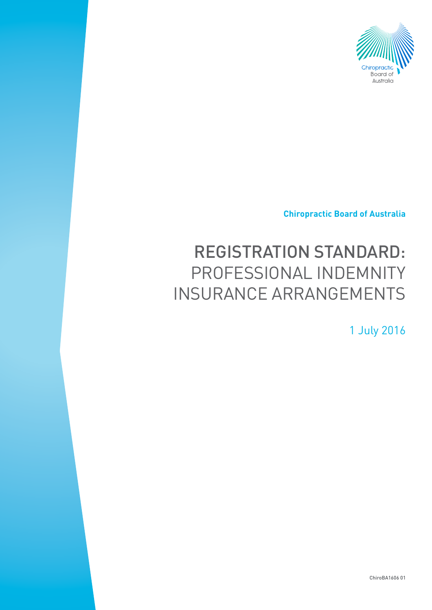

**Chiropractic Board of Australia**

# REGISTRATION STANDARD: PROFESSIONAL INDEMNITY INSURANCE ARRANGEMENTS

1 July 2016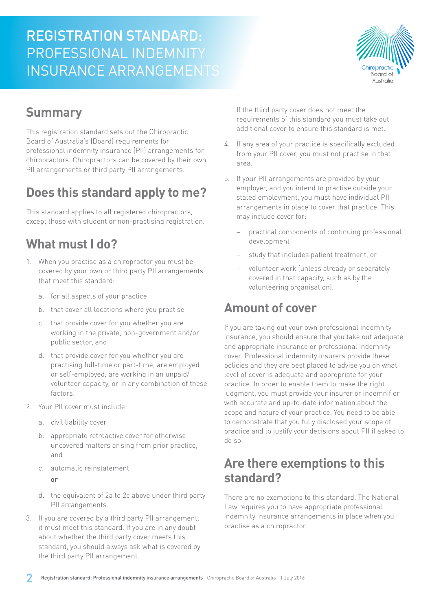# REGISTRATION STANDARD: PROFESSIONAL INDEMNITY INSURANCE ARRANGEMENTS



### **Summary**

This registration standard sets out the Chiropractic Board of Australia's (Board) requirements for professional indemnity insurance (PII) arrangements for chiropractors. Chiropractors can be covered by their own PII arrangements or third party PII arrangements.

# **Does this standard apply to me?**

This standard applies to all registered chiropractors, except those with student or non-practising registration.

### **What must I do?**

- 1. When you practise as a chiropractor you must be covered by your own or third party PII arrangements that meet this standard:
	- a. for all aspects of your practice
	- b. that cover all locations where you practise
	- c. that provide cover for you whether you are working in the private, non-government and/or public sector, and
	- d. that provide cover for you whether you are practising full-time or part-time, are employed or self-employed, are working in an unpaid/ volunteer capacity, or in any combination of these factors.
- 2. Your PII cover must include:
	- a. civil liability cover
	- b. appropriate retroactive cover for otherwise uncovered matters arising from prior practice, and
	- c. automatic reinstatement
		- or
	- d. the equivalent of 2a to 2c above under third party PII arrangements.
- 3. If you are covered by a third party PII arrangement, it must meet this standard. If you are in any doubt about whether the third party cover meets this standard, you should always ask what is covered by the third party PII arrangement.

If the third party cover does not meet the requirements of this standard you must take out additional cover to ensure this standard is met.

- 4. If any area of your practice is specifically excluded from your PII cover, you must not practise in that area.
- 5. If your PII arrangements are provided by your employer, and you intend to practise outside your stated employment, you must have individual PII arrangements in place to cover that practice. This may include cover for:
	- practical components of continuing professional development
	- study that includes patient treatment, or
	- − volunteer work (unless already or separately covered in that capacity, such as by the volunteering organisation).

### **Amount of cover**

If you are taking out your own professional indemnity insurance, you should ensure that you take out adequate and appropriate insurance or professional indemnity cover. Professional indemnity insurers provide these policies and they are best placed to advise you on what level of cover is adequate and appropriate for your practice. In order to enable them to make the right judgment, you must provide your insurer or indemnifier with accurate and up-to-date information about the scope and nature of your practice. You need to be able to demonstrate that you fully disclosed your scope of practice and to justify your decisions about PII if asked to do so.

### **Are there exemptions to this standard?**

There are no exemptions to this standard. The National Law requires you to have appropriate professional indemnity insurance arrangements in place when you practise as a chiropractor.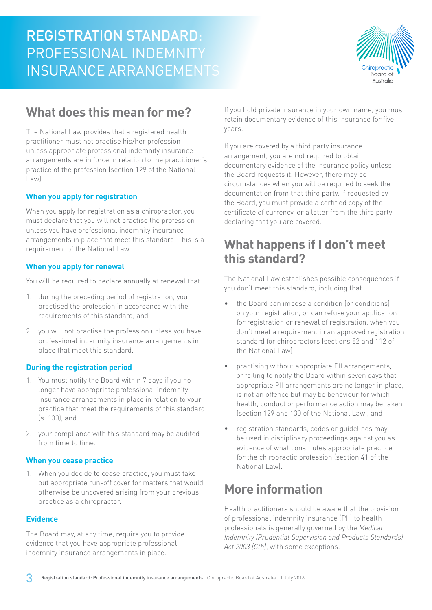

### **What does this mean for me?**

The National Law provides that a registered health practitioner must not practise his/her profession unless appropriate professional indemnity insurance arrangements are in force in relation to the practitioner's practice of the profession (section 129 of the National Law).

#### **When you apply for registration**

When you apply for registration as a chiropractor, you must declare that you will not practise the profession unless you have professional indemnity insurance arrangements in place that meet this standard. This is a requirement of the National Law.

#### **When you apply for renewal**

You will be required to declare annually at renewal that:

- 1. during the preceding period of registration, you practised the profession in accordance with the requirements of this standard, and
- 2. you will not practise the profession unless you have professional indemnity insurance arrangements in place that meet this standard.

#### **During the registration period**

- 1. You must notify the Board within 7 days if you no longer have appropriate professional indemnity insurance arrangements in place in relation to your practice that meet the requirements of this standard (s. 130), and
- 2. your compliance with this standard may be audited from time to time.

#### **When you cease practice**

1. When you decide to cease practice, you must take out appropriate run-off cover for matters that would otherwise be uncovered arising from your previous practice as a chiropractor.

#### **Evidence**

The Board may, at any time, require you to provide evidence that you have appropriate professional indemnity insurance arrangements in place.

If you hold private insurance in your own name, you must retain documentary evidence of this insurance for five years.

If you are covered by a third party insurance arrangement, you are not required to obtain documentary evidence of the insurance policy unless the Board requests it. However, there may be circumstances when you will be required to seek the documentation from that third party. If requested by the Board, you must provide a certified copy of the certificate of currency, or a letter from the third party declaring that you are covered.

### **What happens if I don't meet this standard?**

The National Law establishes possible consequences if you don't meet this standard, including that:

- the Board can impose a condition (or conditions) on your registration, or can refuse your application for registration or renewal of registration, when you don't meet a requirement in an approved registration standard for chiropractors (sections 82 and 112 of the National Law)
- practising without appropriate PII arrangements, or failing to notify the Board within seven days that appropriate PII arrangements are no longer in place, is not an offence but may be behaviour for which health, conduct or performance action may be taken (section 129 and 130 of the National Law), and
- registration standards, codes or guidelines may be used in disciplinary proceedings against you as evidence of what constitutes appropriate practice for the chiropractic profession (section 41 of the National Law).

### **More information**

Health practitioners should be aware that the provision of professional indemnity insurance (PII) to health professionals is generally governed by the *Medical Indemnity (Prudential Supervision and Products Standards) Act 2003 (Cth)*, with some exceptions.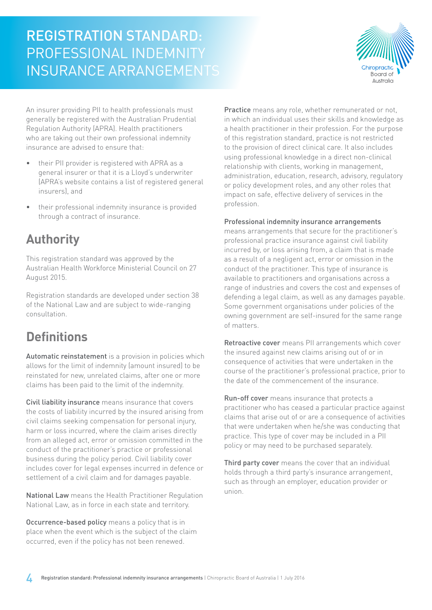# REGISTRATION STANDARD: PROFESSIONAL INDEMNITY INSURANCE ARRANGEMENTS



An insurer providing PII to health professionals must generally be registered with the Australian Prudential Regulation Authority (APRA). Health practitioners who are taking out their own professional indemnity insurance are advised to ensure that:

- their PII provider is registered with APRA as a general insurer or that it is a Lloyd's underwriter (APRA's website contains a list of registered general insurers), and
- their professional indemnity insurance is provided through a contract of insurance.

### **Authority**

This registration standard was approved by the Australian Health Workforce Ministerial Council on 27 August 2015.

Registration standards are developed under section 38 of the National Law and are subject to wide-ranging consultation.

# **Definitions**

Automatic reinstatement is a provision in policies which allows for the limit of indemnity (amount insured) to be reinstated for new, unrelated claims, after one or more claims has been paid to the limit of the indemnity.

Civil liability insurance means insurance that covers the costs of liability incurred by the insured arising from civil claims seeking compensation for personal injury, harm or loss incurred, where the claim arises directly from an alleged act, error or omission committed in the conduct of the practitioner's practice or professional business during the policy period. Civil liability cover includes cover for legal expenses incurred in defence or settlement of a civil claim and for damages payable.

National Law means the Health Practitioner Regulation National Law, as in force in each state and territory.

Occurrence-based policy means a policy that is in place when the event which is the subject of the claim occurred, even if the policy has not been renewed.

Practice means any role, whether remunerated or not, in which an individual uses their skills and knowledge as a health practitioner in their profession. For the purpose of this registration standard, practice is not restricted to the provision of direct clinical care. It also includes using professional knowledge in a direct non-clinical relationship with clients, working in management, administration, education, research, advisory, regulatory or policy development roles, and any other roles that impact on safe, effective delivery of services in the profession.

#### Professional indemnity insurance arrangements

means arrangements that secure for the practitioner's professional practice insurance against civil liability incurred by, or loss arising from, a claim that is made as a result of a negligent act, error or omission in the conduct of the practitioner. This type of insurance is available to practitioners and organisations across a range of industries and covers the cost and expenses of defending a legal claim, as well as any damages payable. Some government organisations under policies of the owning government are self-insured for the same range of matters.

Retroactive cover means PII arrangements which cover the insured against new claims arising out of or in consequence of activities that were undertaken in the course of the practitioner's professional practice, prior to the date of the commencement of the insurance.

Run-off cover means insurance that protects a practitioner who has ceased a particular practice against claims that arise out of or are a consequence of activities that were undertaken when he/she was conducting that practice. This type of cover may be included in a PII policy or may need to be purchased separately.

Third party cover means the cover that an individual holds through a third party's insurance arrangement, such as through an employer, education provider or union.